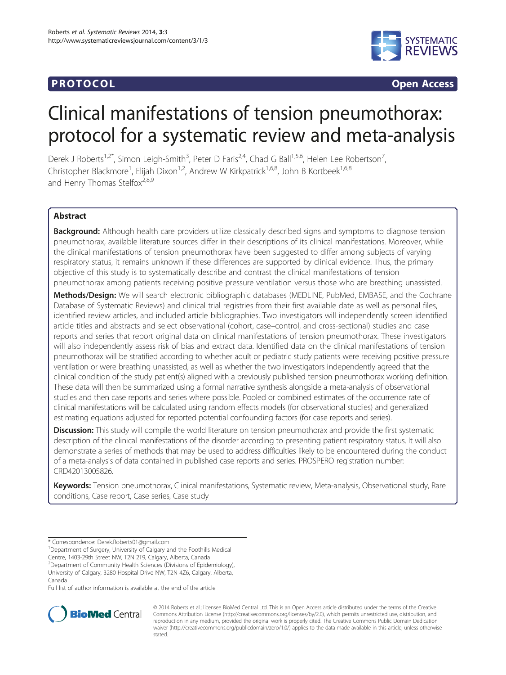# **PROTOCOL CONSUMING ACCESS**



# Clinical manifestations of tension pneumothorax: protocol for a systematic review and meta-analysis

Derek J Roberts<sup>1,2\*</sup>, Simon Leigh-Smith<sup>3</sup>, Peter D Faris<sup>2,4</sup>, Chad G Ball<sup>1,5,6</sup>, Helen Lee Robertson<sup>7</sup> , Christopher Blackmore<sup>1</sup>, Elijah Dixon<sup>1,2</sup>, Andrew W Kirkpatrick<sup>1,6,8</sup>, John B Kortbeek<sup>1,6,8</sup> and Henry Thomas Stelfox<sup>2,8,9</sup>

# Abstract

**Background:** Although health care providers utilize classically described signs and symptoms to diagnose tension pneumothorax, available literature sources differ in their descriptions of its clinical manifestations. Moreover, while the clinical manifestations of tension pneumothorax have been suggested to differ among subjects of varying respiratory status, it remains unknown if these differences are supported by clinical evidence. Thus, the primary objective of this study is to systematically describe and contrast the clinical manifestations of tension pneumothorax among patients receiving positive pressure ventilation versus those who are breathing unassisted.

Methods/Design: We will search electronic bibliographic databases (MEDLINE, PubMed, EMBASE, and the Cochrane Database of Systematic Reviews) and clinical trial registries from their first available date as well as personal files, identified review articles, and included article bibliographies. Two investigators will independently screen identified article titles and abstracts and select observational (cohort, case–control, and cross-sectional) studies and case reports and series that report original data on clinical manifestations of tension pneumothorax. These investigators will also independently assess risk of bias and extract data. Identified data on the clinical manifestations of tension pneumothorax will be stratified according to whether adult or pediatric study patients were receiving positive pressure ventilation or were breathing unassisted, as well as whether the two investigators independently agreed that the clinical condition of the study patient(s) aligned with a previously published tension pneumothorax working definition. These data will then be summarized using a formal narrative synthesis alongside a meta-analysis of observational studies and then case reports and series where possible. Pooled or combined estimates of the occurrence rate of clinical manifestations will be calculated using random effects models (for observational studies) and generalized estimating equations adjusted for reported potential confounding factors (for case reports and series).

Discussion: This study will compile the world literature on tension pneumothorax and provide the first systematic description of the clinical manifestations of the disorder according to presenting patient respiratory status. It will also demonstrate a series of methods that may be used to address difficulties likely to be encountered during the conduct of a meta-analysis of data contained in published case reports and series. PROSPERO registration number: CRD42013005826.

Keywords: Tension pneumothorax, Clinical manifestations, Systematic review, Meta-analysis, Observational study, Rare conditions, Case report, Case series, Case study

Canada

Full list of author information is available at the end of the article



© 2014 Roberts et al.; licensee BioMed Central Ltd. This is an Open Access article distributed under the terms of the Creative Commons Attribution License [\(http://creativecommons.org/licenses/by/2.0\)](http://creativecommons.org/licenses/by/2.0), which permits unrestricted use, distribution, and reproduction in any medium, provided the original work is properly cited. The Creative Commons Public Domain Dedication waiver [\(http://creativecommons.org/publicdomain/zero/1.0/\)](http://creativecommons.org/publicdomain/zero/1.0/) applies to the data made available in this article, unless otherwise stated.

<sup>\*</sup> Correspondence: [Derek.Roberts01@gmail.com](mailto:Derek.Roberts01@gmail.com) <sup>1</sup>

<sup>&</sup>lt;sup>1</sup>Department of Surgery, University of Calgary and the Foothills Medical

Centre, 1403-29th Street NW, T2N 2T9, Calgary, Alberta, Canada

<sup>2</sup> Department of Community Health Sciences (Divisions of Epidemiology), University of Calgary, 3280 Hospital Drive NW, T2N 4Z6, Calgary, Alberta,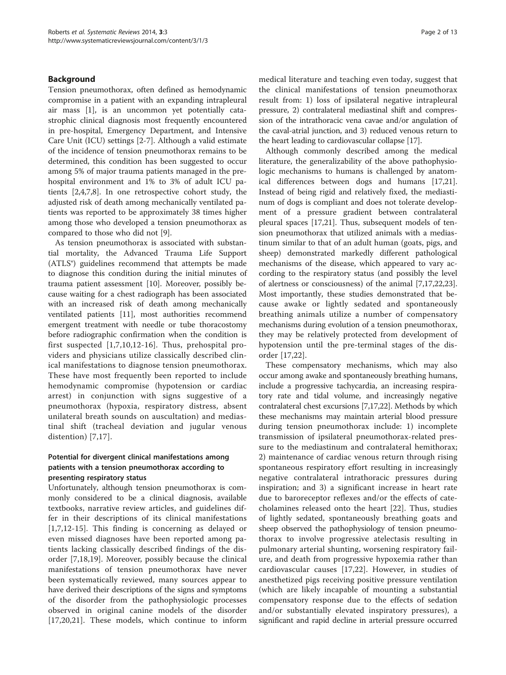# Background

Tension pneumothorax, often defined as hemodynamic compromise in a patient with an expanding intrapleural air mass [[1\]](#page-11-0), is an uncommon yet potentially catastrophic clinical diagnosis most frequently encountered in pre-hospital, Emergency Department, and Intensive Care Unit (ICU) settings [[2-7](#page-11-0)]. Although a valid estimate of the incidence of tension pneumothorax remains to be determined, this condition has been suggested to occur among 5% of major trauma patients managed in the prehospital environment and 1% to 3% of adult ICU patients [[2,4,7,8\]](#page-11-0). In one retrospective cohort study, the adjusted risk of death among mechanically ventilated patients was reported to be approximately 38 times higher among those who developed a tension pneumothorax as compared to those who did not [\[9](#page-11-0)].

As tension pneumothorax is associated with substantial mortality, the Advanced Trauma Life Support (ATLS®) guidelines recommend that attempts be made to diagnose this condition during the initial minutes of trauma patient assessment [\[10](#page-11-0)]. Moreover, possibly because waiting for a chest radiograph has been associated with an increased risk of death among mechanically ventilated patients [\[11\]](#page-11-0), most authorities recommend emergent treatment with needle or tube thoracostomy before radiographic confirmation when the condition is first suspected [[1,7,10,12](#page-11-0)-[16](#page-11-0)]. Thus, prehospital providers and physicians utilize classically described clinical manifestations to diagnose tension pneumothorax. These have most frequently been reported to include hemodynamic compromise (hypotension or cardiac arrest) in conjunction with signs suggestive of a pneumothorax (hypoxia, respiratory distress, absent unilateral breath sounds on auscultation) and mediastinal shift (tracheal deviation and jugular venous distention) [[7,17](#page-11-0)].

# Potential for divergent clinical manifestations among patients with a tension pneumothorax according to presenting respiratory status

Unfortunately, although tension pneumothorax is commonly considered to be a clinical diagnosis, available textbooks, narrative review articles, and guidelines differ in their descriptions of its clinical manifestations [[1,7,12-15](#page-11-0)]. This finding is concerning as delayed or even missed diagnoses have been reported among patients lacking classically described findings of the disorder [\[7,18](#page-11-0),[19\]](#page-11-0). Moreover, possibly because the clinical manifestations of tension pneumothorax have never been systematically reviewed, many sources appear to have derived their descriptions of the signs and symptoms of the disorder from the pathophysiologic processes observed in original canine models of the disorder [[17,20,21\]](#page-11-0). These models, which continue to inform medical literature and teaching even today, suggest that the clinical manifestations of tension pneumothorax result from: 1) loss of ipsilateral negative intrapleural pressure, 2) contralateral mediastinal shift and compression of the intrathoracic vena cavae and/or angulation of the caval-atrial junction, and 3) reduced venous return to the heart leading to cardiovascular collapse [\[17\]](#page-11-0).

Although commonly described among the medical literature, the generalizability of the above pathophysiologic mechanisms to humans is challenged by anatomical differences between dogs and humans [\[17,21](#page-11-0)]. Instead of being rigid and relatively fixed, the mediastinum of dogs is compliant and does not tolerate development of a pressure gradient between contralateral pleural spaces [[17](#page-11-0),[21](#page-11-0)]. Thus, subsequent models of tension pneumothorax that utilized animals with a mediastinum similar to that of an adult human (goats, pigs, and sheep) demonstrated markedly different pathological mechanisms of the disease, which appeared to vary according to the respiratory status (and possibly the level of alertness or consciousness) of the animal [\[7](#page-11-0),[17,22,23](#page-11-0)]. Most importantly, these studies demonstrated that because awake or lightly sedated and spontaneously breathing animals utilize a number of compensatory mechanisms during evolution of a tension pneumothorax, they may be relatively protected from development of hypotension until the pre-terminal stages of the disorder [[17,22\]](#page-11-0).

These compensatory mechanisms, which may also occur among awake and spontaneously breathing humans, include a progressive tachycardia, an increasing respiratory rate and tidal volume, and increasingly negative contralateral chest excursions [[7,17,22\]](#page-11-0). Methods by which these mechanisms may maintain arterial blood pressure during tension pneumothorax include: 1) incomplete transmission of ipsilateral pneumothorax-related pressure to the mediastinum and contralateral hemithorax; 2) maintenance of cardiac venous return through rising spontaneous respiratory effort resulting in increasingly negative contralateral intrathoracic pressures during inspiration; and 3) a significant increase in heart rate due to baroreceptor reflexes and/or the effects of catecholamines released onto the heart [[22\]](#page-11-0). Thus, studies of lightly sedated, spontaneously breathing goats and sheep observed the pathophysiology of tension pneumothorax to involve progressive atelectasis resulting in pulmonary arterial shunting, worsening respiratory failure, and death from progressive hypoxemia rather than cardiovascular causes [\[17](#page-11-0),[22\]](#page-11-0). However, in studies of anesthetized pigs receiving positive pressure ventilation (which are likely incapable of mounting a substantial compensatory response due to the effects of sedation and/or substantially elevated inspiratory pressures), a significant and rapid decline in arterial pressure occurred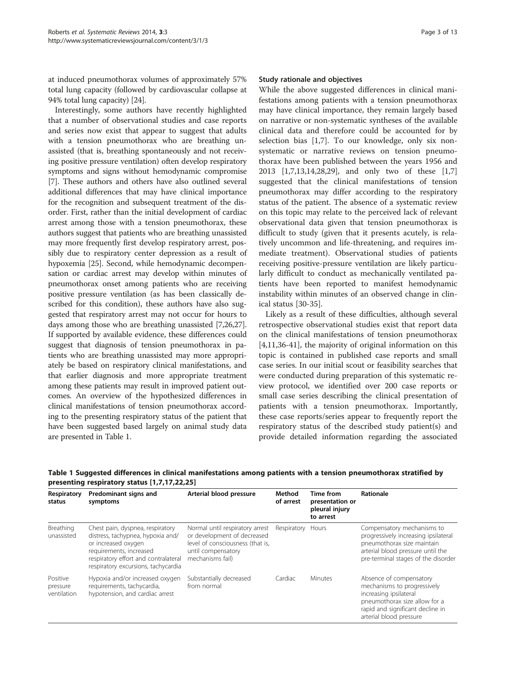at induced pneumothorax volumes of approximately 57% total lung capacity (followed by cardiovascular collapse at 94% total lung capacity) [\[24](#page-11-0)].

Interestingly, some authors have recently highlighted that a number of observational studies and case reports and series now exist that appear to suggest that adults with a tension pneumothorax who are breathing unassisted (that is, breathing spontaneously and not receiving positive pressure ventilation) often develop respiratory symptoms and signs without hemodynamic compromise [[7\]](#page-11-0). These authors and others have also outlined several additional differences that may have clinical importance for the recognition and subsequent treatment of the disorder. First, rather than the initial development of cardiac arrest among those with a tension pneumothorax, these authors suggest that patients who are breathing unassisted may more frequently first develop respiratory arrest, possibly due to respiratory center depression as a result of hypoxemia [\[25\]](#page-11-0). Second, while hemodynamic decompensation or cardiac arrest may develop within minutes of pneumothorax onset among patients who are receiving positive pressure ventilation (as has been classically described for this condition), these authors have also suggested that respiratory arrest may not occur for hours to days among those who are breathing unassisted [\[7,26,27](#page-11-0)]. If supported by available evidence, these differences could suggest that diagnosis of tension pneumothorax in patients who are breathing unassisted may more appropriately be based on respiratory clinical manifestations, and that earlier diagnosis and more appropriate treatment among these patients may result in improved patient outcomes. An overview of the hypothesized differences in clinical manifestations of tension pneumothorax according to the presenting respiratory status of the patient that have been suggested based largely on animal study data are presented in Table 1.

### Study rationale and objectives

While the above suggested differences in clinical manifestations among patients with a tension pneumothorax may have clinical importance, they remain largely based on narrative or non-systematic syntheses of the available clinical data and therefore could be accounted for by selection bias [\[1,7](#page-11-0)]. To our knowledge, only six nonsystematic or narrative reviews on tension pneumothorax have been published between the years 1956 and 2013 [[1,7,13,14,28,29\]](#page-11-0), and only two of these [\[1,7](#page-11-0)] suggested that the clinical manifestations of tension pneumothorax may differ according to the respiratory status of the patient. The absence of a systematic review on this topic may relate to the perceived lack of relevant observational data given that tension pneumothorax is difficult to study (given that it presents acutely, is relatively uncommon and life-threatening, and requires immediate treatment). Observational studies of patients receiving positive-pressure ventilation are likely particularly difficult to conduct as mechanically ventilated patients have been reported to manifest hemodynamic instability within minutes of an observed change in clinical status [\[30](#page-11-0)-[35\]](#page-11-0).

Likely as a result of these difficulties, although several retrospective observational studies exist that report data on the clinical manifestations of tension pneumothorax [[4,11,36-41](#page-11-0)], the majority of original information on this topic is contained in published case reports and small case series. In our initial scout or feasibility searches that were conducted during preparation of this systematic review protocol, we identified over 200 case reports or small case series describing the clinical presentation of patients with a tension pneumothorax. Importantly, these case reports/series appear to frequently report the respiratory status of the described study patient(s) and provide detailed information regarding the associated

| Respiratory<br>status               | Predominant signs and<br>symptoms                                                                                                                                                                      | Arterial blood pressure                                                                                                                      | Method<br>of arrest | Time from<br>presentation or<br>pleural injury<br>to arrest | Rationale                                                                                                                                                                        |
|-------------------------------------|--------------------------------------------------------------------------------------------------------------------------------------------------------------------------------------------------------|----------------------------------------------------------------------------------------------------------------------------------------------|---------------------|-------------------------------------------------------------|----------------------------------------------------------------------------------------------------------------------------------------------------------------------------------|
| Breathing<br>unassisted             | Chest pain, dyspnea, respiratory<br>distress, tachypnea, hypoxia and/<br>or increased oxygen<br>requirements, increased<br>respiratory effort and contralateral<br>respiratory excursions, tachycardia | Normal until respiratory arrest<br>or development of decreased<br>level of consciousness (that is,<br>until compensatory<br>mechanisms fail) | Respiratory Hours   |                                                             | Compensatory mechanisms to<br>progressively increasing ipsilateral<br>pneumothorax size maintain<br>arterial blood pressure until the<br>pre-terminal stages of the disorder     |
| Positive<br>pressure<br>ventilation | Hypoxia and/or increased oxygen<br>requirements, tachycardia,<br>hypotension, and cardiac arrest                                                                                                       | Substantially decreased<br>from normal                                                                                                       | Cardiac             | Minutes                                                     | Absence of compensatory<br>mechanisms to progressively<br>increasing ipsilateral<br>pneumothorax size allow for a<br>rapid and significant decline in<br>arterial blood pressure |

Table 1 Suggested differences in clinical manifestations among patients with a tension pneumothorax stratified by presenting respiratory status [\[1,7](#page-11-0),[17,22,25\]](#page-11-0)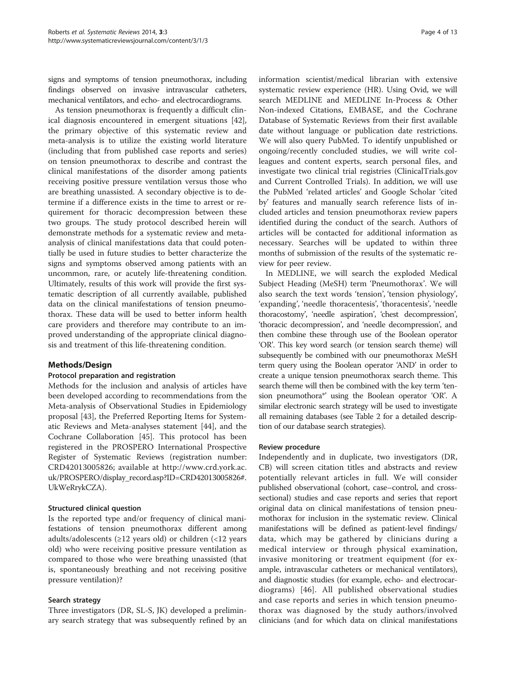signs and symptoms of tension pneumothorax, including findings observed on invasive intravascular catheters, mechanical ventilators, and echo- and electrocardiograms.

As tension pneumothorax is frequently a difficult clinical diagnosis encountered in emergent situations [\[42](#page-11-0)], the primary objective of this systematic review and meta-analysis is to utilize the existing world literature (including that from published case reports and series) on tension pneumothorax to describe and contrast the clinical manifestations of the disorder among patients receiving positive pressure ventilation versus those who are breathing unassisted. A secondary objective is to determine if a difference exists in the time to arrest or requirement for thoracic decompression between these two groups. The study protocol described herein will demonstrate methods for a systematic review and metaanalysis of clinical manifestations data that could potentially be used in future studies to better characterize the signs and symptoms observed among patients with an uncommon, rare, or acutely life-threatening condition. Ultimately, results of this work will provide the first systematic description of all currently available, published data on the clinical manifestations of tension pneumothorax. These data will be used to better inform health care providers and therefore may contribute to an improved understanding of the appropriate clinical diagnosis and treatment of this life-threatening condition.

# Methods/Design

### Protocol preparation and registration

Methods for the inclusion and analysis of articles have been developed according to recommendations from the Meta-analysis of Observational Studies in Epidemiology proposal [\[43\]](#page-11-0), the Preferred Reporting Items for Systematic Reviews and Meta-analyses statement [[44](#page-11-0)], and the Cochrane Collaboration [[45\]](#page-11-0). This protocol has been registered in the PROSPERO International Prospective Register of Systematic Reviews (registration number: CRD42013005826; available at [http://www.crd.york.ac.](http://www.crd.york.ac.uk/PROSPERO/display_record.asp?ID=CRD42013005826#.UkWeRrykCZA) [uk/PROSPERO/display\\_record.asp?ID=CRD42013005826#.](http://www.crd.york.ac.uk/PROSPERO/display_record.asp?ID=CRD42013005826#.UkWeRrykCZA) [UkWeRrykCZA](http://www.crd.york.ac.uk/PROSPERO/display_record.asp?ID=CRD42013005826#.UkWeRrykCZA)).

### Structured clinical question

Is the reported type and/or frequency of clinical manifestations of tension pneumothorax different among adults/adolescents (≥12 years old) or children (<12 years old) who were receiving positive pressure ventilation as compared to those who were breathing unassisted (that is, spontaneously breathing and not receiving positive pressure ventilation)?

### Search strategy

Three investigators (DR, SL-S, JK) developed a preliminary search strategy that was subsequently refined by an

information scientist/medical librarian with extensive systematic review experience (HR). Using Ovid, we will search MEDLINE and MEDLINE In-Process & Other Non-indexed Citations, EMBASE, and the Cochrane Database of Systematic Reviews from their first available date without language or publication date restrictions. We will also query PubMed. To identify unpublished or ongoing/recently concluded studies, we will write colleagues and content experts, search personal files, and investigate two clinical trial registries (ClinicalTrials.gov and Current Controlled Trials). In addition, we will use the PubMed 'related articles' and Google Scholar 'cited by' features and manually search reference lists of included articles and tension pneumothorax review papers identified during the conduct of the search. Authors of articles will be contacted for additional information as necessary. Searches will be updated to within three months of submission of the results of the systematic review for peer review.

In MEDLINE, we will search the exploded Medical Subject Heading (MeSH) term 'Pneumothorax'. We will also search the text words 'tension', 'tension physiology', 'expanding', 'needle thoracentesis', 'thoracentesis', 'needle thoracostomy', 'needle aspiration', 'chest decompression', 'thoracic decompression', and 'needle decompression', and then combine these through use of the Boolean operator 'OR'. This key word search (or tension search theme) will subsequently be combined with our pneumothorax MeSH term query using the Boolean operator 'AND' in order to create a unique tension pneumothorax search theme. This search theme will then be combined with the key term 'tension pneumothora\*' using the Boolean operator 'OR'. A similar electronic search strategy will be used to investigate all remaining databases (see Table [2](#page-4-0) for a detailed description of our database search strategies).

### Review procedure

Independently and in duplicate, two investigators (DR, CB) will screen citation titles and abstracts and review potentially relevant articles in full. We will consider published observational (cohort, case–control, and crosssectional) studies and case reports and series that report original data on clinical manifestations of tension pneumothorax for inclusion in the systematic review. Clinical manifestations will be defined as patient-level findings/ data, which may be gathered by clinicians during a medical interview or through physical examination, invasive monitoring or treatment equipment (for example, intravascular catheters or mechanical ventilators), and diagnostic studies (for example, echo- and electrocardiograms) [[46](#page-11-0)]. All published observational studies and case reports and series in which tension pneumothorax was diagnosed by the study authors/involved clinicians (and for which data on clinical manifestations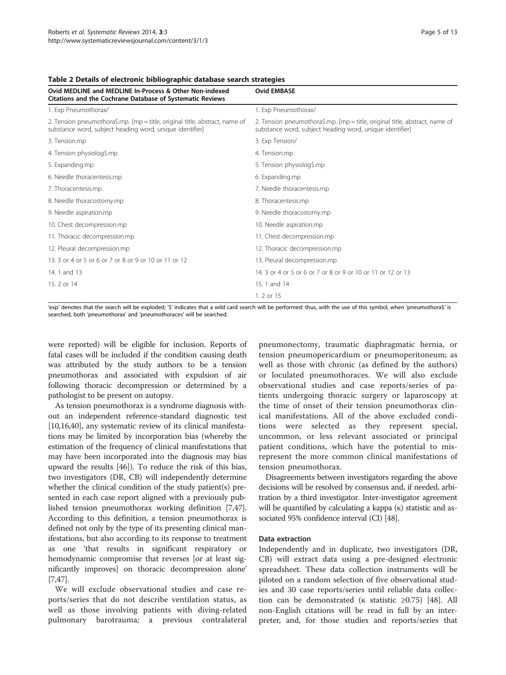| Ovid MEDLINE and MEDLINE In-Process & Other Non-indexed<br><b>Citations and the Cochrane Database of Systematic Reviews</b>             | <b>Ovid EMBASE</b>                                                                                                                      |  |  |  |
|-----------------------------------------------------------------------------------------------------------------------------------------|-----------------------------------------------------------------------------------------------------------------------------------------|--|--|--|
| 1. Exp Pneumothorax/                                                                                                                    | 1. Exp Pneumothorax/                                                                                                                    |  |  |  |
| 2. Tension pneumothora\$.mp. [mp = title, original title, abstract, name of<br>substance word, subject heading word, unique identifier] | 2. Tension pneumothora\$.mp. [mp = title, original title, abstract, name of<br>substance word, subject heading word, unique identifier] |  |  |  |
| 3. Tension.mp                                                                                                                           | 3. Exp Tension/                                                                                                                         |  |  |  |
| 4. Tension physiolog\$.mp                                                                                                               | 4. Tension.mp                                                                                                                           |  |  |  |
| 5. Expanding.mp                                                                                                                         | 5. Tension physiolog\$.mp                                                                                                               |  |  |  |
| 6. Needle thoracentesis.mp                                                                                                              | 6. Expanding.mp                                                                                                                         |  |  |  |
| 7. Thoracentesis.mp                                                                                                                     | 7. Needle thoracentesis.mp                                                                                                              |  |  |  |
| 8. Needle thoracostomy.mp                                                                                                               | 8. Thoracentesis.mp                                                                                                                     |  |  |  |
| 9. Needle aspiration.mp                                                                                                                 | 9. Needle thoracostomy.mp                                                                                                               |  |  |  |
| 10. Chest decompression.mp                                                                                                              | 10. Needle aspiration.mp                                                                                                                |  |  |  |
| 11. Thoracic decompression.mp                                                                                                           | 11. Chest decompression.mp                                                                                                              |  |  |  |
| 12. Pleural decompression.mp                                                                                                            | 12. Thoracic decompression.mp                                                                                                           |  |  |  |
| 13. 3 or 4 or 5 or 6 or 7 or 8 or 9 or 10 or 11 or 12                                                                                   | 13. Pleural decompression.mp                                                                                                            |  |  |  |
| 14. 1 and 13                                                                                                                            | 14. 3 or 4 or 5 or 6 or 7 or 8 or 9 or 10 or 11 or 12 or 13                                                                             |  |  |  |
| 15.2 or 14                                                                                                                              | 15. 1 and 14                                                                                                                            |  |  |  |
|                                                                                                                                         | 1. 2 or 15                                                                                                                              |  |  |  |

<span id="page-4-0"></span>Table 2 Details of electronic bibliographic database search strategies

'exp' denotes that the search will be exploded; '\$' indicates that a wild card search will be performed: thus, with the use of this symbol, when 'pneumothora\$' is searched, both 'pneumothorax' and 'pneumothoraces' will be searched.

were reported) will be eligible for inclusion. Reports of fatal cases will be included if the condition causing death was attributed by the study authors to be a tension pneumothorax and associated with expulsion of air following thoracic decompression or determined by a pathologist to be present on autopsy.

As tension pneumothorax is a syndrome diagnosis without an independent reference-standard diagnostic test [[10,16,40\]](#page-11-0), any systematic review of its clinical manifestations may be limited by incorporation bias (whereby the estimation of the frequency of clinical manifestations that may have been incorporated into the diagnosis may bias upward the results [\[46\]](#page-11-0)). To reduce the risk of this bias, two investigators (DR, CB) will independently determine whether the clinical condition of the study patient(s) presented in each case report aligned with a previously published tension pneumothorax working definition [[7,47](#page-11-0)]. According to this definition, a tension pneumothorax is defined not only by the type of its presenting clinical manifestations, but also according to its response to treatment as one 'that results in significant respiratory or hemodynamic compromise that reverses [or at least significantly improves] on thoracic decompression alone' [[7,47](#page-11-0)].

We will exclude observational studies and case reports/series that do not describe ventilation status, as well as those involving patients with diving-related pulmonary barotrauma; a previous contralateral

pneumonectomy, traumatic diaphragmatic hernia, or tension pneumopericardium or pneumoperitoneum; as well as those with chronic (as defined by the authors) or loculated pneumothoraces. We will also exclude observational studies and case reports/series of patients undergoing thoracic surgery or laparoscopy at the time of onset of their tension pneumothorax clinical manifestations. All of the above excluded conditions were selected as they represent special, uncommon, or less relevant associated or principal patient conditions, which have the potential to misrepresent the more common clinical manifestations of tension pneumothorax.

Disagreements between investigators regarding the above decisions will be resolved by consensus and, if needed, arbitration by a third investigator. Inter-investigator agreement will be quantified by calculating a kappa (κ) statistic and associated 95% confidence interval (CI) [[48](#page-11-0)].

### Data extraction

Independently and in duplicate, two investigators (DR, CB) will extract data using a pre-designed electronic spreadsheet. These data collection instruments will be piloted on a random selection of five observational studies and 30 case reports/series until reliable data collection can be demonstrated (κ statistic ≥0.75) [\[48\]](#page-11-0). All non-English citations will be read in full by an interpreter, and, for those studies and reports/series that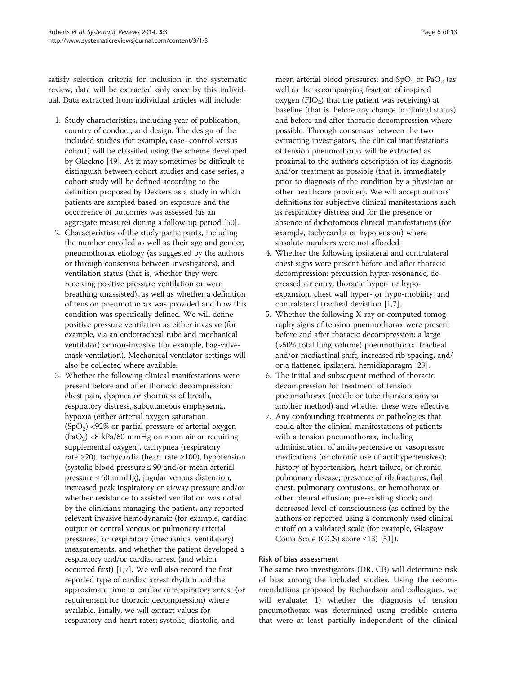satisfy selection criteria for inclusion in the systematic review, data will be extracted only once by this individual. Data extracted from individual articles will include:

- 1. Study characteristics, including year of publication, country of conduct, and design. The design of the included studies (for example, case–control versus cohort) will be classified using the scheme developed by Oleckno [[49](#page-11-0)]. As it may sometimes be difficult to distinguish between cohort studies and case series, a cohort study will be defined according to the definition proposed by Dekkers as a study in which patients are sampled based on exposure and the occurrence of outcomes was assessed (as an aggregate measure) during a follow-up period [[50](#page-12-0)].
- 2. Characteristics of the study participants, including the number enrolled as well as their age and gender, pneumothorax etiology (as suggested by the authors or through consensus between investigators), and ventilation status (that is, whether they were receiving positive pressure ventilation or were breathing unassisted), as well as whether a definition of tension pneumothorax was provided and how this condition was specifically defined. We will define positive pressure ventilation as either invasive (for example, via an endotracheal tube and mechanical ventilator) or non-invasive (for example, bag-valvemask ventilation). Mechanical ventilator settings will also be collected where available.
- 3. Whether the following clinical manifestations were present before and after thoracic decompression: chest pain, dyspnea or shortness of breath, respiratory distress, subcutaneous emphysema, hypoxia (either arterial oxygen saturation  $(SpO<sub>2</sub>)$  <92% or partial pressure of arterial oxygen  $(PaO<sub>2</sub>)$  <8 kPa/60 mmHg on room air or requiring supplemental oxygen], tachypnea (respiratory rate ≥20), tachycardia (heart rate ≥100), hypotension (systolic blood pressure ≤ 90 and/or mean arterial pressure ≤ 60 mmHg), jugular venous distention, increased peak inspiratory or airway pressure and/or whether resistance to assisted ventilation was noted by the clinicians managing the patient, any reported relevant invasive hemodynamic (for example, cardiac output or central venous or pulmonary arterial pressures) or respiratory (mechanical ventilatory) measurements, and whether the patient developed a respiratory and/or cardiac arrest (and which occurred first) [[1,7\]](#page-11-0). We will also record the first reported type of cardiac arrest rhythm and the approximate time to cardiac or respiratory arrest (or requirement for thoracic decompression) where available. Finally, we will extract values for respiratory and heart rates; systolic, diastolic, and

mean arterial blood pressures; and  $SpO<sub>2</sub>$  or PaO<sub>2</sub> (as well as the accompanying fraction of inspired oxygen (FIO<sub>2</sub>) that the patient was receiving) at baseline (that is, before any change in clinical status) and before and after thoracic decompression where possible. Through consensus between the two extracting investigators, the clinical manifestations of tension pneumothorax will be extracted as proximal to the author's description of its diagnosis and/or treatment as possible (that is, immediately prior to diagnosis of the condition by a physician or other healthcare provider). We will accept authors' definitions for subjective clinical manifestations such as respiratory distress and for the presence or absence of dichotomous clinical manifestations (for example, tachycardia or hypotension) where absolute numbers were not afforded.

- 4. Whether the following ipsilateral and contralateral chest signs were present before and after thoracic decompression: percussion hyper-resonance, decreased air entry, thoracic hyper- or hypoexpansion, chest wall hyper- or hypo-mobility, and contralateral tracheal deviation [\[1,7](#page-11-0)].
- 5. Whether the following X-ray or computed tomography signs of tension pneumothorax were present before and after thoracic decompression: a large (>50% total lung volume) pneumothorax, tracheal and/or mediastinal shift, increased rib spacing, and/ or a flattened ipsilateral hemidiaphragm [[29](#page-11-0)].
- 6. The initial and subsequent method of thoracic decompression for treatment of tension pneumothorax (needle or tube thoracostomy or another method) and whether these were effective.
- 7. Any confounding treatments or pathologies that could alter the clinical manifestations of patients with a tension pneumothorax, including administration of antihypertensive or vasopressor medications (or chronic use of antihypertensives); history of hypertension, heart failure, or chronic pulmonary disease; presence of rib fractures, flail chest, pulmonary contusions, or hemothorax or other pleural effusion; pre-existing shock; and decreased level of consciousness (as defined by the authors or reported using a commonly used clinical cutoff on a validated scale (for example, Glasgow Coma Scale (GCS) score  $\leq$ 13) [\[51\]](#page-12-0)).

# Risk of bias assessment

The same two investigators (DR, CB) will determine risk of bias among the included studies. Using the recommendations proposed by Richardson and colleagues, we will evaluate: 1) whether the diagnosis of tension pneumothorax was determined using credible criteria that were at least partially independent of the clinical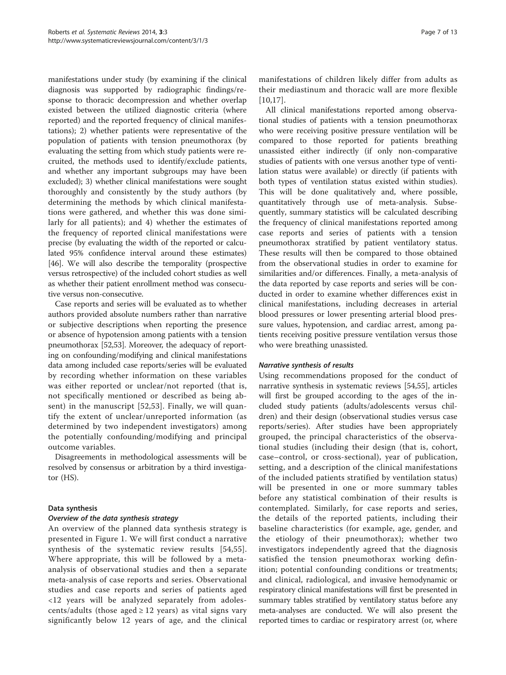manifestations under study (by examining if the clinical diagnosis was supported by radiographic findings/response to thoracic decompression and whether overlap existed between the utilized diagnostic criteria (where reported) and the reported frequency of clinical manifestations); 2) whether patients were representative of the population of patients with tension pneumothorax (by evaluating the setting from which study patients were recruited, the methods used to identify/exclude patients, and whether any important subgroups may have been excluded); 3) whether clinical manifestations were sought thoroughly and consistently by the study authors (by determining the methods by which clinical manifestations were gathered, and whether this was done similarly for all patients); and 4) whether the estimates of the frequency of reported clinical manifestations were precise (by evaluating the width of the reported or calculated 95% confidence interval around these estimates) [[46](#page-11-0)]. We will also describe the temporality (prospective versus retrospective) of the included cohort studies as well as whether their patient enrollment method was consecutive versus non-consecutive.

Case reports and series will be evaluated as to whether authors provided absolute numbers rather than narrative or subjective descriptions when reporting the presence or absence of hypotension among patients with a tension pneumothorax [\[52,53](#page-12-0)]. Moreover, the adequacy of reporting on confounding/modifying and clinical manifestations data among included case reports/series will be evaluated by recording whether information on these variables was either reported or unclear/not reported (that is, not specifically mentioned or described as being absent) in the manuscript [\[52,53](#page-12-0)]. Finally, we will quantify the extent of unclear/unreported information (as determined by two independent investigators) among the potentially confounding/modifying and principal outcome variables.

Disagreements in methodological assessments will be resolved by consensus or arbitration by a third investigator (HS).

# Data synthesis

## Overview of the data synthesis strategy

An overview of the planned data synthesis strategy is presented in Figure [1](#page-7-0). We will first conduct a narrative synthesis of the systematic review results [\[54,55](#page-12-0)]. Where appropriate, this will be followed by a metaanalysis of observational studies and then a separate meta-analysis of case reports and series. Observational studies and case reports and series of patients aged <12 years will be analyzed separately from adolescents/adults (those aged  $\geq$  12 years) as vital signs vary significantly below 12 years of age, and the clinical manifestations of children likely differ from adults as their mediastinum and thoracic wall are more flexible [[10](#page-11-0),[17\]](#page-11-0).

All clinical manifestations reported among observational studies of patients with a tension pneumothorax who were receiving positive pressure ventilation will be compared to those reported for patients breathing unassisted either indirectly (if only non-comparative studies of patients with one versus another type of ventilation status were available) or directly (if patients with both types of ventilation status existed within studies). This will be done qualitatively and, where possible, quantitatively through use of meta-analysis. Subsequently, summary statistics will be calculated describing the frequency of clinical manifestations reported among case reports and series of patients with a tension pneumothorax stratified by patient ventilatory status. These results will then be compared to those obtained from the observational studies in order to examine for similarities and/or differences. Finally, a meta-analysis of the data reported by case reports and series will be conducted in order to examine whether differences exist in clinical manifestations, including decreases in arterial blood pressures or lower presenting arterial blood pressure values, hypotension, and cardiac arrest, among patients receiving positive pressure ventilation versus those who were breathing unassisted.

### Narrative synthesis of results

Using recommendations proposed for the conduct of narrative synthesis in systematic reviews [\[54,55\]](#page-12-0), articles will first be grouped according to the ages of the included study patients (adults/adolescents versus children) and their design (observational studies versus case reports/series). After studies have been appropriately grouped, the principal characteristics of the observational studies (including their design (that is, cohort, case–control, or cross-sectional), year of publication, setting, and a description of the clinical manifestations of the included patients stratified by ventilation status) will be presented in one or more summary tables before any statistical combination of their results is contemplated. Similarly, for case reports and series, the details of the reported patients, including their baseline characteristics (for example, age, gender, and the etiology of their pneumothorax); whether two investigators independently agreed that the diagnosis satisfied the tension pneumothorax working definition; potential confounding conditions or treatments; and clinical, radiological, and invasive hemodynamic or respiratory clinical manifestations will first be presented in summary tables stratified by ventilatory status before any meta-analyses are conducted. We will also present the reported times to cardiac or respiratory arrest (or, where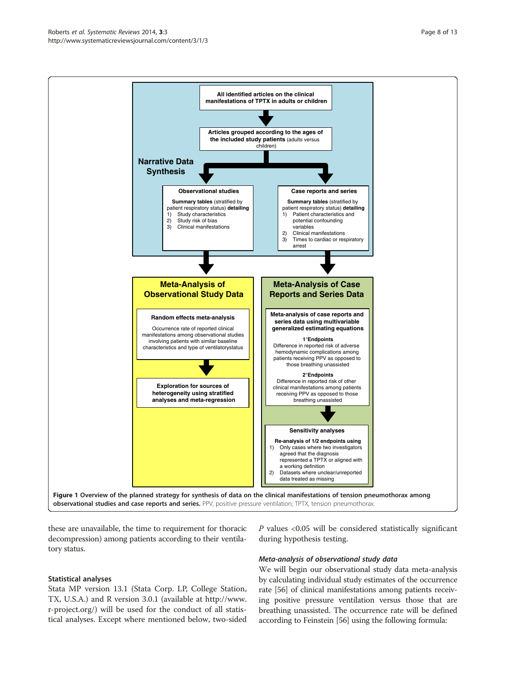these are unavailable, the time to requirement for thoracic decompression) among patients according to their ventilatory status.

### Statistical analyses

Stata MP version 13.1 (Stata Corp. LP, College Station, TX, U.S.A.) and R version 3.0.1 (available at [http://www.](http://www.r-project.org/) [r-project.org/\)](http://www.r-project.org/) will be used for the conduct of all statistical analyses. Except where mentioned below, two-sided

during hypothesis testing.

Meta-analysis of observational study data We will begin our observational study data meta-analysis by calculating individual study estimates of the occurrence rate [\[56](#page-12-0)] of clinical manifestations among patients receiving positive pressure ventilation versus those that are breathing unassisted. The occurrence rate will be defined according to Feinstein [[56](#page-12-0)] using the following formula:

 $P$  values <0.05 will be considered statistically significant

<span id="page-7-0"></span>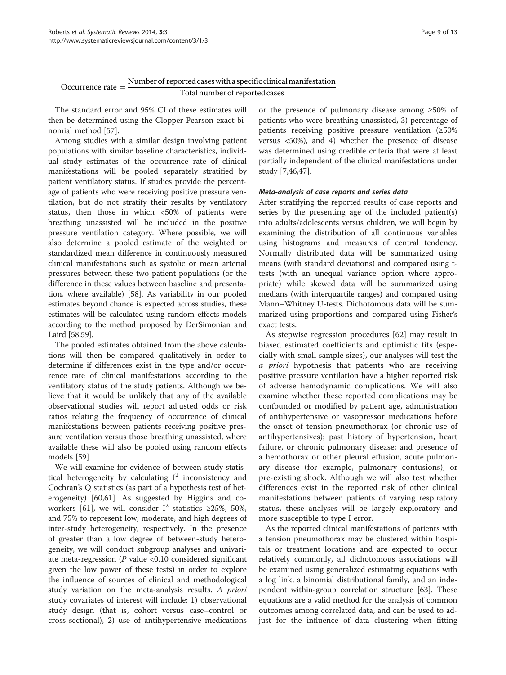# Occurrence rate  $=\frac{\text{Number of reported cases with a specific clinical manifestation}}{\frac{1}{2}}$ Total number of reported cases

The standard error and 95% CI of these estimates will then be determined using the Clopper-Pearson exact binomial method [\[57](#page-12-0)].

Among studies with a similar design involving patient populations with similar baseline characteristics, individual study estimates of the occurrence rate of clinical manifestations will be pooled separately stratified by patient ventilatory status. If studies provide the percentage of patients who were receiving positive pressure ventilation, but do not stratify their results by ventilatory status, then those in which <50% of patients were breathing unassisted will be included in the positive pressure ventilation category. Where possible, we will also determine a pooled estimate of the weighted or standardized mean difference in continuously measured clinical manifestations such as systolic or mean arterial pressures between these two patient populations (or the difference in these values between baseline and presentation, where available) [[58](#page-12-0)]. As variability in our pooled estimates beyond chance is expected across studies, these estimates will be calculated using random effects models according to the method proposed by DerSimonian and Laird [[58,59\]](#page-12-0).

The pooled estimates obtained from the above calculations will then be compared qualitatively in order to determine if differences exist in the type and/or occurrence rate of clinical manifestations according to the ventilatory status of the study patients. Although we believe that it would be unlikely that any of the available observational studies will report adjusted odds or risk ratios relating the frequency of occurrence of clinical manifestations between patients receiving positive pressure ventilation versus those breathing unassisted, where available these will also be pooled using random effects models [\[59\]](#page-12-0).

We will examine for evidence of between-study statistical heterogeneity by calculating  $I^2$  inconsistency and Cochran's Q statistics (as part of a hypothesis test of heterogeneity) [[60,61\]](#page-12-0). As suggested by Higgins and co-workers [\[61\]](#page-12-0), we will consider I<sup>2</sup> statistics ≥25%, 50%, and 75% to represent low, moderate, and high degrees of inter-study heterogeneity, respectively. In the presence of greater than a low degree of between-study heterogeneity, we will conduct subgroup analyses and univariate meta-regression ( $P$  value <0.10 considered significant given the low power of these tests) in order to explore the influence of sources of clinical and methodological study variation on the meta-analysis results. A priori study covariates of interest will include: 1) observational study design (that is, cohort versus case–control or cross-sectional), 2) use of antihypertensive medications

or the presence of pulmonary disease among ≥50% of patients who were breathing unassisted, 3) percentage of patients receiving positive pressure ventilation (≥50% versus <50%), and 4) whether the presence of disease was determined using credible criteria that were at least partially independent of the clinical manifestations under study [[7,46,47\]](#page-11-0).

### Meta-analysis of case reports and series data

After stratifying the reported results of case reports and series by the presenting age of the included patient(s) into adults/adolescents versus children, we will begin by examining the distribution of all continuous variables using histograms and measures of central tendency. Normally distributed data will be summarized using means (with standard deviations) and compared using ttests (with an unequal variance option where appropriate) while skewed data will be summarized using medians (with interquartile ranges) and compared using Mann–Whitney U-tests. Dichotomous data will be summarized using proportions and compared using Fisher's exact tests.

As stepwise regression procedures [\[62](#page-12-0)] may result in biased estimated coefficients and optimistic fits (especially with small sample sizes), our analyses will test the a priori hypothesis that patients who are receiving positive pressure ventilation have a higher reported risk of adverse hemodynamic complications. We will also examine whether these reported complications may be confounded or modified by patient age, administration of antihypertensive or vasopressor medications before the onset of tension pneumothorax (or chronic use of antihypertensives); past history of hypertension, heart failure, or chronic pulmonary disease; and presence of a hemothorax or other pleural effusion, acute pulmonary disease (for example, pulmonary contusions), or pre-existing shock. Although we will also test whether differences exist in the reported risk of other clinical manifestations between patients of varying respiratory status, these analyses will be largely exploratory and more susceptible to type I error.

As the reported clinical manifestations of patients with a tension pneumothorax may be clustered within hospitals or treatment locations and are expected to occur relatively commonly, all dichotomous associations will be examined using generalized estimating equations with a log link, a binomial distributional family, and an independent within-group correlation structure [\[63](#page-12-0)]. These equations are a valid method for the analysis of common outcomes among correlated data, and can be used to adjust for the influence of data clustering when fitting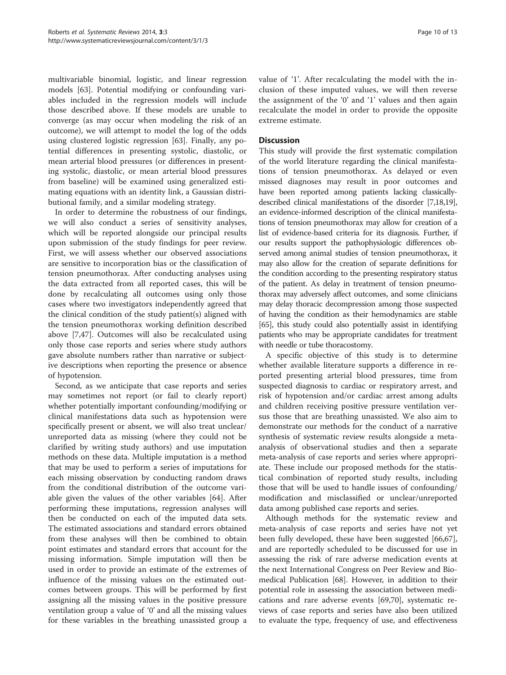multivariable binomial, logistic, and linear regression models [\[63\]](#page-12-0). Potential modifying or confounding variables included in the regression models will include those described above. If these models are unable to converge (as may occur when modeling the risk of an outcome), we will attempt to model the log of the odds using clustered logistic regression [[63](#page-12-0)]. Finally, any potential differences in presenting systolic, diastolic, or mean arterial blood pressures (or differences in presenting systolic, diastolic, or mean arterial blood pressures from baseline) will be examined using generalized estimating equations with an identity link, a Gaussian distributional family, and a similar modeling strategy.

In order to determine the robustness of our findings, we will also conduct a series of sensitivity analyses, which will be reported alongside our principal results upon submission of the study findings for peer review. First, we will assess whether our observed associations are sensitive to incorporation bias or the classification of tension pneumothorax. After conducting analyses using the data extracted from all reported cases, this will be done by recalculating all outcomes using only those cases where two investigators independently agreed that the clinical condition of the study patient(s) aligned with the tension pneumothorax working definition described above [[7,47\]](#page-11-0). Outcomes will also be recalculated using only those case reports and series where study authors gave absolute numbers rather than narrative or subjective descriptions when reporting the presence or absence of hypotension.

Second, as we anticipate that case reports and series may sometimes not report (or fail to clearly report) whether potentially important confounding/modifying or clinical manifestations data such as hypotension were specifically present or absent, we will also treat unclear/ unreported data as missing (where they could not be clarified by writing study authors) and use imputation methods on these data. Multiple imputation is a method that may be used to perform a series of imputations for each missing observation by conducting random draws from the conditional distribution of the outcome variable given the values of the other variables [[64\]](#page-12-0). After performing these imputations, regression analyses will then be conducted on each of the imputed data sets. The estimated associations and standard errors obtained from these analyses will then be combined to obtain point estimates and standard errors that account for the missing information. Simple imputation will then be used in order to provide an estimate of the extremes of influence of the missing values on the estimated outcomes between groups. This will be performed by first assigning all the missing values in the positive pressure ventilation group a value of '0' and all the missing values for these variables in the breathing unassisted group a value of '1'. After recalculating the model with the inclusion of these imputed values, we will then reverse the assignment of the '0' and '1' values and then again recalculate the model in order to provide the opposite extreme estimate.

# **Discussion**

This study will provide the first systematic compilation of the world literature regarding the clinical manifestations of tension pneumothorax. As delayed or even missed diagnoses may result in poor outcomes and have been reported among patients lacking classicallydescribed clinical manifestations of the disorder [\[7,18,19](#page-11-0)], an evidence-informed description of the clinical manifestations of tension pneumothorax may allow for creation of a list of evidence-based criteria for its diagnosis. Further, if our results support the pathophysiologic differences observed among animal studies of tension pneumothorax, it may also allow for the creation of separate definitions for the condition according to the presenting respiratory status of the patient. As delay in treatment of tension pneumothorax may adversely affect outcomes, and some clinicians may delay thoracic decompression among those suspected of having the condition as their hemodynamics are stable [[65](#page-12-0)], this study could also potentially assist in identifying patients who may be appropriate candidates for treatment with needle or tube thoracostomy.

A specific objective of this study is to determine whether available literature supports a difference in reported presenting arterial blood pressures, time from suspected diagnosis to cardiac or respiratory arrest, and risk of hypotension and/or cardiac arrest among adults and children receiving positive pressure ventilation versus those that are breathing unassisted. We also aim to demonstrate our methods for the conduct of a narrative synthesis of systematic review results alongside a metaanalysis of observational studies and then a separate meta-analysis of case reports and series where appropriate. These include our proposed methods for the statistical combination of reported study results, including those that will be used to handle issues of confounding/ modification and misclassified or unclear/unreported data among published case reports and series.

Although methods for the systematic review and meta-analysis of case reports and series have not yet been fully developed, these have been suggested [\[66,67](#page-12-0)], and are reportedly scheduled to be discussed for use in assessing the risk of rare adverse medication events at the next International Congress on Peer Review and Biomedical Publication [\[68](#page-12-0)]. However, in addition to their potential role in assessing the association between medications and rare adverse events [\[69,70\]](#page-12-0), systematic reviews of case reports and series have also been utilized to evaluate the type, frequency of use, and effectiveness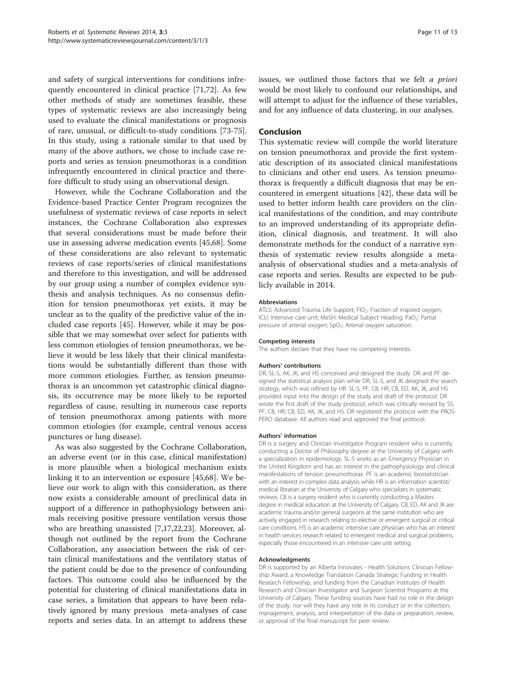and safety of surgical interventions for conditions infrequently encountered in clinical practice [\[71,72](#page-12-0)]. As few other methods of study are sometimes feasible, these types of systematic reviews are also increasingly being used to evaluate the clinical manifestations or prognosis of rare, unusual, or difficult-to-study conditions [\[73-75](#page-12-0)]. In this study, using a rationale similar to that used by many of the above authors, we chose to include case reports and series as tension pneumothorax is a condition infrequently encountered in clinical practice and therefore difficult to study using an observational design.

However, while the Cochrane Collaboration and the Evidence-based Practice Center Program recognizes the usefulness of systematic reviews of case reports in select instances, the Cochrane Collaboration also expresses that several considerations must be made before their use in assessing adverse medication events [[45,](#page-11-0)[68\]](#page-12-0). Some of these considerations are also relevant to systematic reviews of case reports/series of clinical manifestations and therefore to this investigation, and will be addressed by our group using a number of complex evidence synthesis and analysis techniques. As no consensus definition for tension pneumothorax yet exists, it may be unclear as to the quality of the predictive value of the included case reports [[45\]](#page-11-0). However, while it may be possible that we may somewhat over select for patients with less common etiologies of tension pneumothorax, we believe it would be less likely that their clinical manifestations would be substantially different than those with more common etiologies. Further, as tension pneumothorax is an uncommon yet catastrophic clinical diagnosis, its occurrence may be more likely to be reported regardless of cause, resulting in numerous case reports of tension pneumothorax among patients with more common etiologies (for example, central venous access punctures or lung disease).

As was also suggested by the Cochrane Collaboration, an adverse event (or in this case, clinical manifestation) is more plausible when a biological mechanism exists linking it to an intervention or exposure [[45](#page-11-0),[68](#page-12-0)]. We believe our work to align with this consideration, as there now exists a considerable amount of preclinical data in support of a difference in pathophysiology between animals receiving positive pressure ventilation versus those who are breathing unassisted [\[7,17,22,23\]](#page-11-0). Moreover, although not outlined by the report from the Cochrane Collaboration, any association between the risk of certain clinical manifestations and the ventilatory status of the patient could be due to the presence of confounding factors. This outcome could also be influenced by the potential for clustering of clinical manifestations data in case series, a limitation that appears to have been relatively ignored by many previous meta-analyses of case reports and series data. In an attempt to address these

issues, we outlined those factors that we felt a priori would be most likely to confound our relationships, and will attempt to adjust for the influence of these variables, and for any influence of data clustering, in our analyses.

### Conclusion

This systematic review will compile the world literature on tension pneumothorax and provide the first systematic description of its associated clinical manifestations to clinicians and other end users. As tension pneumothorax is frequently a difficult diagnosis that may be encountered in emergent situations [[42\]](#page-11-0), these data will be used to better inform health care providers on the clinical manifestations of the condition, and may contribute to an improved understanding of its appropriate definition, clinical diagnosis, and treatment. It will also demonstrate methods for the conduct of a narrative synthesis of systematic review results alongside a metaanalysis of observational studies and a meta-analysis of case reports and series. Results are expected to be publicly available in 2014.

### Abbreviations

ATLS: Advanced Trauma Life Support; FIO<sub>2</sub>: Fraction of inspired oxygen; ICU: Intensive care unit; MeSH: Medical Subject Heading; PaO<sub>2</sub>: Partial pressure of arterial oxygen; SpO<sub>2</sub>: Arterial oxygen saturation.

### Competing interests

The authors declare that they have no competing interests.

### Authors' contributions

DR, SL-S, AK, JK, and HS conceived and designed the study. DR and PF designed the statistical analysis plan while DR, SL-S, and JK designed the search strategy, which was refined by HR. SL-S, PF, CB, HR, CB, ED, AK, JK, and HS provided input into the design of the study and draft of the protocol. DR wrote the first draft of the study protocol, which was critically revised by SS, PF, CB, HR, CB, ED, AK, JK, and HS. DR registered the protocol with the PROS-PERO database. All authors read and approved the final protocol.

### Authors' information

DR is a surgery and Clinician Investigator Program resident who is currently conducting a Doctor of Philosophy degree at the University of Calgary with a specialization in epidemiology. SL-S works as an Emergency Physician in the United Kingdom and has an interest in the pathophysiology and clinical manifestations of tension pneumothorax. PF is an academic biostatistician with an interest in complex data analysis while HR is an information scientist/ medical librarian at the University of Calgary who specializes in systematic reviews. CB is a surgery resident who is currently conducting a Masters degree in medical education at the University of Calgary. CB, ED, AK and JK are academic trauma and/or general surgeons at the same institution who are actively engaged in research relating to elective or emergent surgical or critical care conditions. HS is an academic intensive care physician who has an interest in health services research related to emergent medical and surgical problems, especially those encountered in an intensive care unit setting.

### Acknowledgments

DR is supported by an Alberta Innovates - Health Solutions Clinician Fellowship Award, a Knowledge Translation Canada Strategic Funding in Health Research Fellowship, and funding from the Canadian Institutes of Health Research and Clinician Investigator and Surgeon Scientist Programs at the University of Calgary. These funding sources have had no role in the design of the study, nor will they have any role in its conduct or in the collection, management, analysis, and interpretation of the data or preparation, review, or approval of the final manuscript for peer review.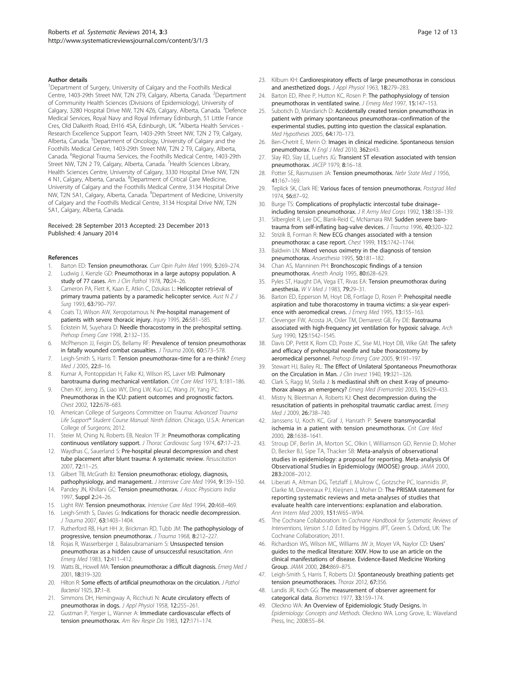### <span id="page-11-0"></span>Author details

<sup>1</sup>Department of Surgery, University of Calgary and the Foothills Medical Centre, 1403-29th Street NW, T2N 2T9, Calgary, Alberta, Canada. <sup>2</sup>Department of Community Health Sciences (Divisions of Epidemiology), University of Calgary, 3280 Hospital Drive NW, T2N 4Z6, Calgary, Alberta, Canada. <sup>3</sup>Defence Medical Services, Royal Navy and Royal Infirmary Edinburgh, 51 Little France Cres, Old Dalkeith Road, EH16 4SA, Edinburgh, UK. <sup>4</sup>Alberta Health Services -Research Excellence Support Team, 1403-29th Street NW, T2N 2 T9, Calgary, Alberta, Canada. <sup>5</sup>Department of Oncology, University of Calgary and the Foothills Medical Centre, 1403-29th Street NW, T2N 2 T9, Calgary, Alberta, Canada. <sup>6</sup>Regional Trauma Services, the Foothills Medical Centre, 1403-29th Street NW, T2N 2 T9, Calgary, Alberta, Canada. <sup>7</sup>Health Sciences Library, Health Sciences Centre, University of Calgary, 3330 Hospital Drive NW, T2N 4 N1, Calgary, Alberta, Canada. <sup>8</sup>Department of Critical Care Medicine, University of Calgary and the Foothills Medical Centre, 3134 Hospital Drive NW, T2N 5A1, Calgary, Alberta, Canada. <sup>9</sup>Department of Medicine, University of Calgary and the Foothills Medical Centre, 3134 Hospital Drive NW, T2N 5A1, Calgary, Alberta, Canada.

### Received: 28 September 2013 Accepted: 23 December 2013 Published: 4 January 2014

### References

- Barton ED: Tension pneumothorax. Curr Opin Pulm Med 1999, 5:269-274.
- 2. Ludwig J, Kienzle GD: Pneumothorax in a large autopsy population. A study of 77 cases. Am J Clin Pathol 1978, 70:24-26.
- 3. Cameron PA, Flett K, Kaan E, Atkin C, Dziukas L: Helicopter retrieval of primary trauma patients by a paramedic helicopter service. Aust  $NZJ$ Surg 1993, 63:790–797.
- Coats TJ, Wilson AW, Xeropotamous N: Pre-hospital management of patients with severe thoracic injury. Injury 1995, 26:581–585.
- 5. Eckstein M, Suyehara D: Needle thoracostomy in the prehospital setting. Prehosp Emerg Care 1998, 2:132–135.
- 6. McPherson JJ, Feigin DS, Bellamy RF: Prevalence of tension pneumothorax in fatally wounded combat casualties. J Trauma 2006, 60:573-578
- 7. Leigh-Smith S, Harris T: Tension pneumothorax-time for a re-think? Emerg Med J 2005, 22:8–16.
- 8. Kumar A, Pontoppidan H, Falke KJ, Wilson RS, Laver MB: Pulmonary barotrauma during mechanical ventilation. Crit Care Med 1973, 1:181-186.
- 9. Chen KY, Jerng JS, Liao WY, Ding LW, Kuo LC, Wang JY, Yang PC: Pneumothorax in the ICU: patient outcomes and prognostic factors. Chest 2002, 122:678–683.
- 10. American College of Surgeons Committee on Trauma: Advanced Trauma Life Support® Student Course Manual: Ninth Edition. Chicago, U.S.A: American College of Surgeons; 2012.
- 11. Steier M, Ching N, Roberts EB, Nealon TF Jr: Pneumothorax complicating continuous ventilatory support. J Thorac Cardiovasc Surg 1974, 67:17–23.
- 12. Waydhas C, Sauerland S: Pre-hospital pleural decompression and chest tube placement after blunt trauma: A systematic review. Resuscitation 2007, 72:11–25.
- 13. Gilbert TB, McGrath BJ: Tension pneumothorax: etiology, diagnosis, pathophysiology, and management. J Intensive Care Med 1994, 9:139-150.
- 14. Pandey JN, Khillani GC: Tension pneumothorax. J Assoc Physicians India 1997, Suppl 2:24–26.
- 15. Light RW: Tension pneumothorax. Intensive Care Med 1994, 20:468-469.
- 16. Leigh-Smith S, Davies G: Indications for thoracic needle decompression. J Trauma 2007, 63:1403–1404.
- 17. Rutherford RB, Hurt HH Jr, Brickman RD, Tubb JM: The pathophysiology of progressive, tension pneumothorax. J Trauma 1968, 8:212–227.
- 18. Rojas R, Wasserberger J, Balasubramaniam S: Unsuspected tension pneumothorax as a hidden cause of unsuccessful resuscitation. Ann Emerg Med 1983, 12:411–412.
- 19. Watts BL, Howell MA: Tension pneumothorax: a difficult diagnosis. Emerg Med J 2001, 18:319–320.
- 20. Hilton R: Some effects of artificial pneumothorax on the circulation. J Pathol Bacteriol 1925, 37:1–8.
- 21. Simmons DH, Hemingway A, Ricchiuti N: Acute circulatory effects of pneumothorax in dogs. J Appl Physiol 1958, 12:255–261.
- 22. Gustman P, Yerger L, Wanner A: Immediate cardiovascular effects of tension pneumothorax. Am Rev Respir Dis 1983, 127:171-174.
- 23. Kilburn KH: Cardiorespiratory effects of large pneumothorax in conscious and anesthetized dogs. J Appl Physiol 1963, 18:279–283.
- 24. Barton ED, Rhee P, Hutton KC, Rosen P: The pathophysiology of tension pneumothorax in ventilated swine. J Emerg Med 1997, 15:147-153.
- 25. Subotich D, Mandarich D: Accidentally created tension pneumothorax in patient with primary spontaneous pneumothorax–confirmation of the experimental studies, putting into question the classical explanation. Med Hypotheses 2005, 64:170–173.
- 26. Ben-Chetrit E, Merin O: Images in clinical medicine. Spontaneous tension pneumothorax. N Engl J Med 2010, 362:e43.
- Slay RD, Slay LE, Luehrs JG: Transient ST elevation associated with tension pneumothorax. JACEP 1979, 8:16–18.
- 28. Potter SE, Rasmussen JA: Tension pneumothorax. Nebr State Med J 1956, 41:167–169.
- 29. Teplick SK, Clark RE: Various faces of tension pneumothorax. Postgrad Med 1974, 56:87–92.
- 30. Burge TS: Complications of prophylactic intercostal tube drainage– including tension pneumothorax. J R Army Med Corps 1992, 138:138–139.
- 31. Silbergleit R, Lee DC, Blank-Reid C, McNamara RM: Sudden severe barotrauma from self-inflating bag-valve devices. J Trauma 1996, 40:320–322.
- 32. Strizik B, Forman R: New ECG changes associated with a tension pneumothorax: a case report. Chest 1999, 115:1742-1744
- 33. Baldwin LN: Mixed venous oximetry in the diagnosis of tension pneumothorax. Anaesthesia 1995, 50:181–182.
- 34. Chan AS, Manninen PH: Bronchoscopic findings of a tension pneumothorax. Anesth Analg 1995, 80:628–629.
- 35. Pyles ST, Haught DA, Vega ET, Rivas EA: Tension pneumothorax during anesthesia. W V Med J 1983, 79:29–31.
- 36. Barton ED, Epperson M, Hoyt DB, Fortlage D, Rosen P: Prehospital needle aspiration and tube thoracostomy in trauma victims: a six-year experience with aeromedical crews. J Emerg Med 1995, 13:155-163.
- 37. Clevenger FW, Acosta JA, Osler TM, Demarest GB, Fry DE: Barotrauma associated with high-frequency jet ventilation for hypoxic salvage. Arch Surg 1990, 125:1542–1545.
- 38. Davis DP, Pettit K, Rom CD, Poste JC, Sise MJ, Hoyt DB, Vilke GM: The safety and efficacy of prehospital needle and tube thoracostomy by aeromedical personnel. Prehosp Emerg Care 2005, 9:191–197.
- 39. Stewart HJ, Bailey RL: The Effect of Unilateral Spontaneous Pneumothorax on the Circulation in Man. J Clin Invest 1940, 19:321-326.
- Clark S, Ragg M, Stella J: Is mediastinal shift on chest X-ray of pneumothorax always an emergency? Emerg Med (Fremantle) 2003, 15:429–433.
- 41. Mistry N, Bleetman A, Roberts KJ: Chest decompression during the resuscitation of patients in prehospital traumatic cardiac arrest. Emerg Med J 2009, 26:738–740.
- 42. Janssens U, Koch KC, Graf J, Hanrath P: Severe transmyocardial ischemia in a patient with tension pneumothorax. Crit Care Med 2000, 28:1638–1641.
- 43. Stroup DF, Berlin JA, Morton SC, Olkin I, Williamson GD, Rennie D, Moher D, Becker BJ, Sipe TA, Thacker SB: Meta-analysis of observational studies in epidemiology: a proposal for reporting. Meta-analysis Of Observational Studies in Epidemiology (MOOSE) group. JAMA 2000, 283:2008–2012.
- 44. Liberati A, Altman DG, Tetzlaff J, Mulrow C, Gotzsche PC, Ioannidis JP, Clarke M, Devereaux PJ, Kleijnen J, Moher D: The PRISMA statement for reporting systematic reviews and meta-analyses of studies that evaluate health care interventions: explanation and elaboration. Ann Intern Med 2009, 151:W65–W94.
- 45. The Cochrane Collaboration: In Cochrane Handbook for Systematic Reviews of Interventions, Version 5.1.0. Edited by Higgins JPT, Green S. Oxford, UK: The Cochrane Collaboration; 2011.
- 46. Richardson WS, Wilson MC, Williams JW Jr, Moyer VA, Naylor CD: Users' guides to the medical literature: XXIV. How to use an article on the clinical manifestations of disease. Evidence-Based Medicine Working Group. JAMA 2000, 284:869–875.
- 47. Leigh-Smith S, Harris T, Roberts DJ: Spontaneously breathing patients get tension pneumothoraces. Thorax 2012, 67:356.
- 48. Landis JR, Koch GG: The measurement of observer agreement for categorical data. Biometrics 1977, 33:159–174. 49. Oleckno WA: An Overview of Epidemiologic Study Designs. In
- Epidemiology: Concepts and Methods. Oleckno WA. Long Grove, IL: Waveland Press, Inc; 2008:55–84.